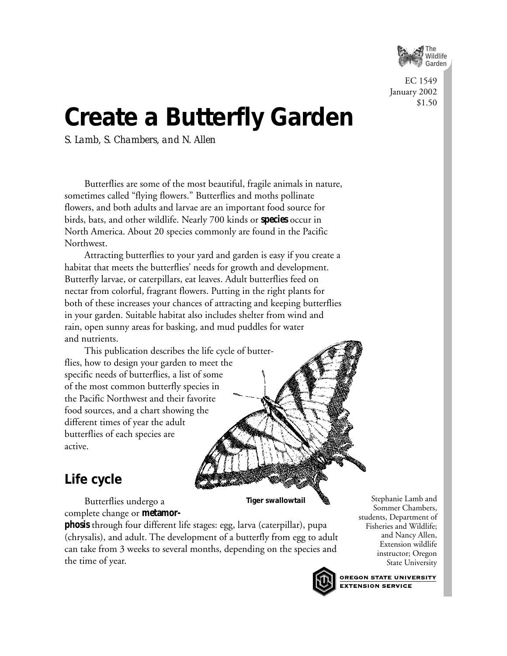

EC 1549 January 2002 \$1.50

# **Create a Butterfly Garden**

*S. Lamb, S. Chambers, and N. Allen*

Butterflies are some of the most beautiful, fragile animals in nature, sometimes called "flying flowers." Butterflies and moths pollinate flowers, and both adults and larvae are an important food source for birds, bats, and other wildlife. Nearly 700 kinds or **species** occur in North America. About 20 species commonly are found in the Pacific Northwest.

Attracting butterflies to your yard and garden is easy if you create a habitat that meets the butterflies' needs for growth and development. Butterfly larvae, or caterpillars, eat leaves. Adult butterflies feed on nectar from colorful, fragrant flowers. Putting in the right plants for both of these increases your chances of attracting and keeping butterflies in your garden. Suitable habitat also includes shelter from wind and rain, open sunny areas for basking, and mud puddles for water and nutrients.

## This publication describes the life cycle of butterflies, how to design your garden to meet the specific needs of butterflies, a list of some of the most common butterfly species in the Pacific Northwest and their favorite food sources, and a chart showing the different times of year the adult butterflies of each species are active.

# **Life cycle**

Butterflies undergo a complete change or **metamor-**

**phosis** through four different life stages: egg, larva (caterpillar), pupa (chrysalis), and adult. The development of a butterfly from egg to adult can take from 3 weeks to several months, depending on the species and the time of year.



**Tiger swallowtail**

Stephanie Lamb and Sommer Chambers, students, Department of Fisheries and Wildlife; and Nancy Allen, Extension wildlife instructor; Oregon State University

**OREGON STATE UNIVERSITY EXTENSION SERVICE**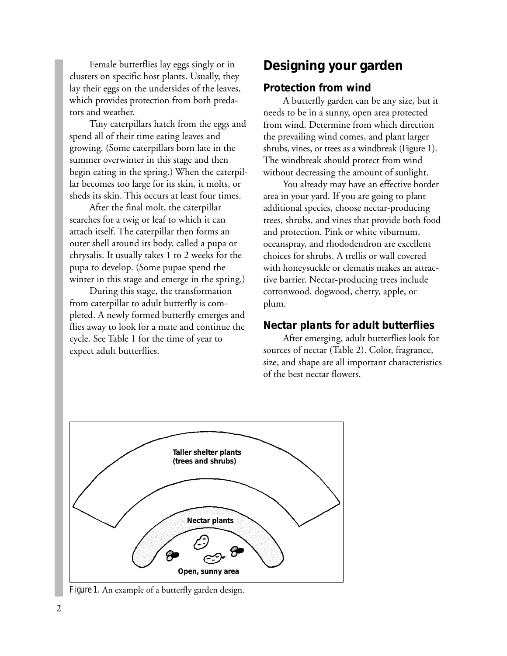Female butterflies lay eggs singly or in clusters on specific host plants. Usually, they lay their eggs on the undersides of the leaves, which provides protection from both predators and weather.

Tiny caterpillars hatch from the eggs and spend all of their time eating leaves and growing. (Some caterpillars born late in the summer overwinter in this stage and then begin eating in the spring.) When the caterpillar becomes too large for its skin, it molts, or sheds its skin. This occurs at least four times.

After the final molt, the caterpillar searches for a twig or leaf to which it can attach itself. The caterpillar then forms an outer shell around its body, called a pupa or chrysalis. It usually takes 1 to 2 weeks for the pupa to develop. (Some pupae spend the winter in this stage and emerge in the spring.)

During this stage, the transformation from caterpillar to adult butterfly is completed. A newly formed butterfly emerges and flies away to look for a mate and continue the cycle. See Table 1 for the time of year to expect adult butterflies.

# **Designing your garden**

## *Protection from wind*

A butterfly garden can be any size, but it needs to be in a sunny, open area protected from wind. Determine from which direction the prevailing wind comes, and plant larger shrubs, vines, or trees as a windbreak (Figure 1). The windbreak should protect from wind without decreasing the amount of sunlight.

You already may have an effective border area in your yard. If you are going to plant additional species, choose nectar-producing trees, shrubs, and vines that provide both food and protection. Pink or white viburnum, oceanspray, and rhododendron are excellent choices for shrubs. A trellis or wall covered with honeysuckle or clematis makes an attractive barrier. Nectar-producing trees include cottonwood, dogwood, cherry, apple, or plum.

## *Nectar plants for adult butterflies*

After emerging, adult butterflies look for sources of nectar (Table 2). Color, fragrance, size, and shape are all important characteristics of the best nectar flowers.



*Figure 1.* An example of a butterfly garden design.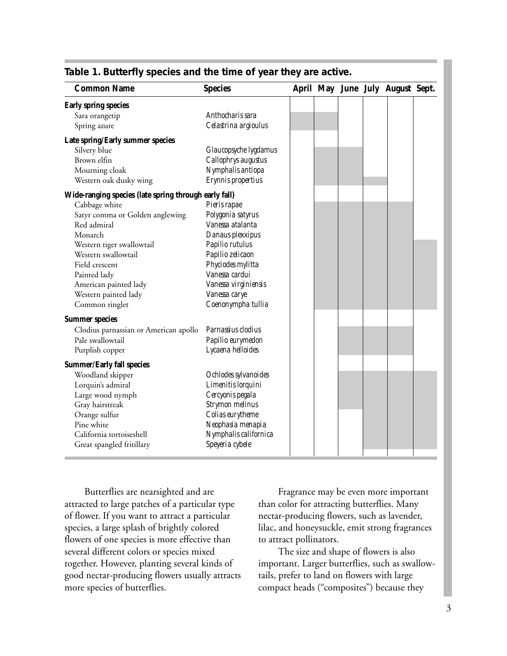| <b>Common Name</b>                                    | <b>Species</b>         |  |  | April May June July August Sept. |  |
|-------------------------------------------------------|------------------------|--|--|----------------------------------|--|
| Early spring species                                  |                        |  |  |                                  |  |
| Sara orangetip                                        | Anthocharis sara       |  |  |                                  |  |
| Spring azure                                          | Celastrina argioulus   |  |  |                                  |  |
| Late spring/Early summer species                      |                        |  |  |                                  |  |
| Silvery blue                                          | Glaucopsyche lygdamus  |  |  |                                  |  |
| Brown elfin                                           | Callophrys augustus    |  |  |                                  |  |
| Mourning cloak                                        | Nymphalis antiopa      |  |  |                                  |  |
| Western oak dusky wing                                | Erynnis propertius     |  |  |                                  |  |
| Wide-ranging species (late spring through early fall) |                        |  |  |                                  |  |
| Cabbage white                                         | Pieris rapae           |  |  |                                  |  |
| Satyr comma or Golden anglewing                       | Polygonia satyrus      |  |  |                                  |  |
| Red admiral                                           | Vanessa atalanta       |  |  |                                  |  |
| Monarch                                               | Danaus plexxipus       |  |  |                                  |  |
| Western tiger swallowtail                             | Papilio rutulus        |  |  |                                  |  |
| Western swallowtail                                   | Papilio zelicaon       |  |  |                                  |  |
| Field crescent                                        | Phyciodes mylitta      |  |  |                                  |  |
| Painted lady                                          | Vanessa cardui         |  |  |                                  |  |
| American painted lady                                 | Vanessa virginiensis   |  |  |                                  |  |
| Western painted lady                                  | Vanessa carye          |  |  |                                  |  |
| Common ringlet                                        | Coenonympha tullia     |  |  |                                  |  |
| <b>Summer species</b>                                 |                        |  |  |                                  |  |
| Clodius parnassian or American apollo                 | Parnassius clodius     |  |  |                                  |  |
| Pale swallowtail                                      | Papilio eurymedon      |  |  |                                  |  |
| Purplish copper                                       | Lycaena helloides      |  |  |                                  |  |
| <b>Summer/Early fall species</b>                      |                        |  |  |                                  |  |
| Woodland skipper                                      | Ochlodes sylvanoides   |  |  |                                  |  |
| Lorquin's admiral                                     | Limenitis lorquini     |  |  |                                  |  |
| Large wood nymph                                      | Cercyonis pegala       |  |  |                                  |  |
| Gray hairstreak                                       | <b>Strymon</b> melinus |  |  |                                  |  |
| Orange sulfur                                         | Colias eurytheme       |  |  |                                  |  |
| Pine white                                            | Neophasia menapia      |  |  |                                  |  |
| California tortoiseshell                              | Nymphalis californica  |  |  |                                  |  |
| Great spangled fritillary                             | Speyeria cybele        |  |  |                                  |  |

#### **Table 1. Butterfly species and the time of year they are active.**

Butterflies are nearsighted and are attracted to large patches of a particular type of flower. If you want to attract a particular species, a large splash of brightly colored flowers of one species is more effective than several different colors or species mixed together. However, planting several kinds of good nectar-producing flowers usually attracts more species of butterflies.

Fragrance may be even more important than color for attracting butterflies. Many nectar-producing flowers, such as lavender, lilac, and honeysuckle, emit strong fragrances to attract pollinators.

The size and shape of flowers is also important. Larger butterflies, such as swallowtails, prefer to land on flowers with large compact heads ("composites") because they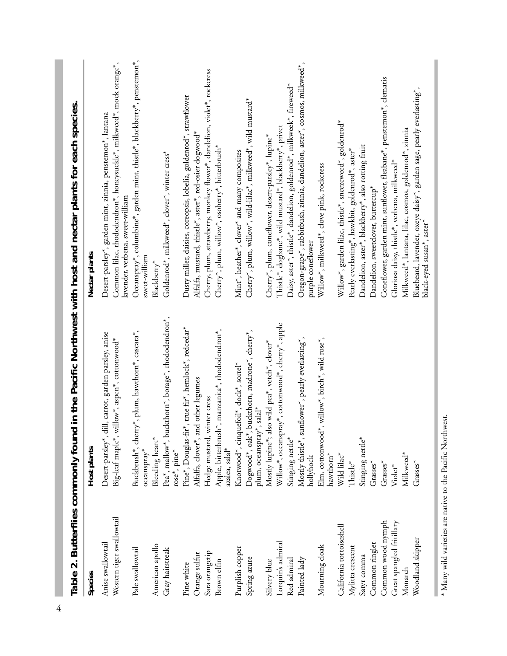| Table 2. Butterflies commonly foun             |                                                                                                          | d in the Pacific Northwest with host and nectar plants for each species.                                                                                             |
|------------------------------------------------|----------------------------------------------------------------------------------------------------------|----------------------------------------------------------------------------------------------------------------------------------------------------------------------|
| Species                                        | Host plants                                                                                              | Nectar plants                                                                                                                                                        |
| Western tiger swallowtail<br>Anise swallowtail | dill, carrot, garden parsley, anise<br>Big-leaf maple*, willow*, aspen*, cottonwood*<br>Desert-parsley*, | Common lilac, rhododendron*, honeysuckle*, milkweed*, mock orange*,<br>Desett-parsley*, garden mint, zinnia, penstemon*, lantana<br>lavender, verbena, sweet-william |
| Pale swallowtail                               | Buckbrush*, cherry*, plum, hawthorn*, cascara*,<br>oceanspray*                                           | Oceanspray*, columbine*, garden mint, thistle*, blackberry*, penstemon*,<br>sweet-william                                                                            |
| American apollo                                | Bleeding heart*                                                                                          | Blackberry*                                                                                                                                                          |
| Gray hairstreak                                | Pea*, mallow*, buckthorn*, borage*, rhododendron*,<br>rose*, pine*                                       | Goldenrod*, milkweed*, clover*, winter cress*                                                                                                                        |
| Pine white                                     | Pine*, Douglas-fir*, true fir*, hemlock*, redcedar*                                                      | Dusty miller, daisies, coreopsis, lobelia, goldenrod*, strawflower                                                                                                   |
| Orange sulfur                                  | Alfalfa, clover*, and other legumes                                                                      | Alfalfa, mustard, thistle*, aster*, red-osier dogwood*                                                                                                               |
| Sara orangetip                                 | winter cress<br>Hedge mustard,                                                                           | Cherry, plum, strawberry, monkey flower*, dandelion, violer*, rockcress                                                                                              |
| Brown elfin                                    | Apple, bitterbrush*, manzanita*, rhododendron*,<br>azalea, salal*                                        | Cherry*, plum, willow*, osoberry*, bitterbrush*                                                                                                                      |
| Purplish copper                                | Knotwood*, cinquefoil*, dock*, sorrel*                                                                   | Mint*, heather*, clover* and many composites                                                                                                                         |
| Spring azure                                   | Dogwood*, oak*, buckthorn, madrone*, cherry*,<br>plum, oceanspray*, salal*                               | Cherry*, plum, willow*, wild-lilac*, milkweed*, wild mustard*                                                                                                        |
| Silvery blue                                   | Mostly lupine*; also wild pea*, vetch*, clover*                                                          | Cherry*, plum, coneflower, desert-parsley*, lupine*                                                                                                                  |
| Lorquin's admiral                              | Willow*, oceanspray*, cottonwood*, cherry*, apple                                                        | Thistle*, dogbane*, wild mustard*, blackberry*, privet                                                                                                               |
| Red admiral                                    | Stinging nettle*                                                                                         | Daisy, aster*, thistle*, dandelion, goldenrod*, milkweek*, fireweed*                                                                                                 |
| Painted lady                                   | Mostly thistle*, sunflower*, pearly everlasting*,<br>hollyhock                                           | Oregon-grape*, rabbitbush, zinnia, dandelion, aster*, cosmos, milkweed*,<br>purple coneflower                                                                        |
| Mourning cloak                                 | Elm, cottonwood*, willow*, birch*, wild rose*,<br>hawthorn*                                              | Willow*, milkweed*, clove pink, rockcress                                                                                                                            |
| California tortoiseshell                       | Wild lilac <sup>*</sup>                                                                                  | Willow*, garden lilac, thistle*, sneezeweed*, goldenrod*                                                                                                             |
| Mylitta crescent                               | Thistle*                                                                                                 | Pearly everlasting*, hawkbit, goldenrod*, aster*                                                                                                                     |
| Satyr comma                                    | Stinging nettle*                                                                                         | Dandelion, aster*, blackberry*, also rotting fruit                                                                                                                   |
| Common ringlet                                 | Grasses*                                                                                                 | Dandelion, sweetclover, buttercup*                                                                                                                                   |
| Common wood nymph                              | Grasses*                                                                                                 | Coneflower, garden mint, sunflower, fleabane*, penstemon*, clematis                                                                                                  |
| Great spangled fritillary                      | Violet <sup>*</sup>                                                                                      | Gloriosa daisy, thistle*, verbena, milkweed*                                                                                                                         |
| Monarch                                        | Milkweed*                                                                                                | Milkweed*, lantana, lilac, cosmos, goldenrod*, zinnia                                                                                                                |
| Woodland skipper                               | Grasses*                                                                                                 | Bluebeard, lavender, oxeye daisy*, garden sage, pearly everlasting*,<br>black-eyed susan*, aster*                                                                    |
|                                                |                                                                                                          |                                                                                                                                                                      |

 $^*$  Many wild varieties are native to the Pacific Northwest. \* Many wild varieties are native to the Pacific Northwest.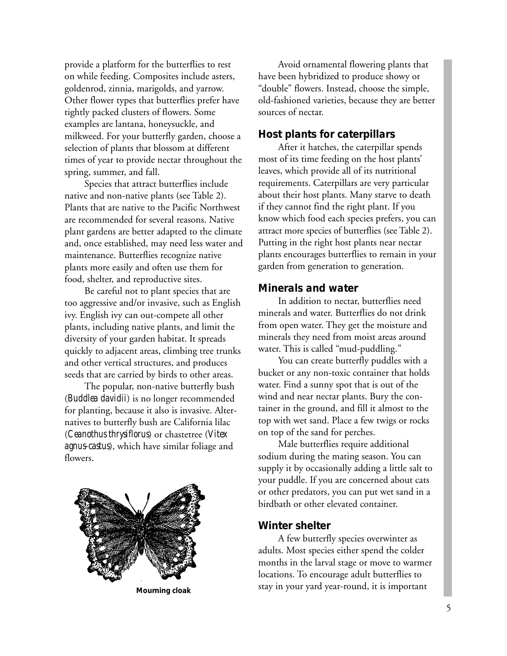provide a platform for the butterflies to rest on while feeding. Composites include asters, goldenrod, zinnia, marigolds, and yarrow. Other flower types that butterflies prefer have tightly packed clusters of flowers. Some examples are lantana, honeysuckle, and milkweed. For your butterfly garden, choose a selection of plants that blossom at different times of year to provide nectar throughout the spring, summer, and fall.

Species that attract butterflies include native and non-native plants (see Table 2). Plants that are native to the Pacific Northwest are recommended for several reasons. Native plant gardens are better adapted to the climate and, once established, may need less water and maintenance. Butterflies recognize native plants more easily and often use them for food, shelter, and reproductive sites.

Be careful not to plant species that are too aggressive and/or invasive, such as English ivy. English ivy can out-compete all other plants, including native plants, and limit the diversity of your garden habitat. It spreads quickly to adjacent areas, climbing tree trunks and other vertical structures, and produces seeds that are carried by birds to other areas.

The popular, non-native butterfly bush (*Buddlea davidii*) is no longer recommended for planting, because it also is invasive. Alternatives to butterfly bush are California lilac (*Ceanothus thrysiflorus*) or chastetree (*Vitex agnus-castus*), which have similar foliage and flowers.



Avoid ornamental flowering plants that have been hybridized to produce showy or "double" flowers. Instead, choose the simple, old-fashioned varieties, because they are better sources of nectar.

#### *Host plants for caterpillars*

After it hatches, the caterpillar spends most of its time feeding on the host plants' leaves, which provide all of its nutritional requirements. Caterpillars are very particular about their host plants. Many starve to death if they cannot find the right plant. If you know which food each species prefers, you can attract more species of butterflies (see Table 2). Putting in the right host plants near nectar plants encourages butterflies to remain in your garden from generation to generation.

#### *Minerals and water*

In addition to nectar, butterflies need minerals and water. Butterflies do not drink from open water. They get the moisture and minerals they need from moist areas around water. This is called "mud-puddling."

You can create butterfly puddles with a bucket or any non-toxic container that holds water. Find a sunny spot that is out of the wind and near nectar plants. Bury the container in the ground, and fill it almost to the top with wet sand. Place a few twigs or rocks on top of the sand for perches.

Male butterflies require additional sodium during the mating season. You can supply it by occasionally adding a little salt to your puddle. If you are concerned about cats or other predators, you can put wet sand in a birdbath or other elevated container.

#### *Winter shelter*

A few butterfly species overwinter as adults. Most species either spend the colder months in the larval stage or move to warmer locations. To encourage adult butterflies to stay in your yard year-round, it is important **Mourning cloak**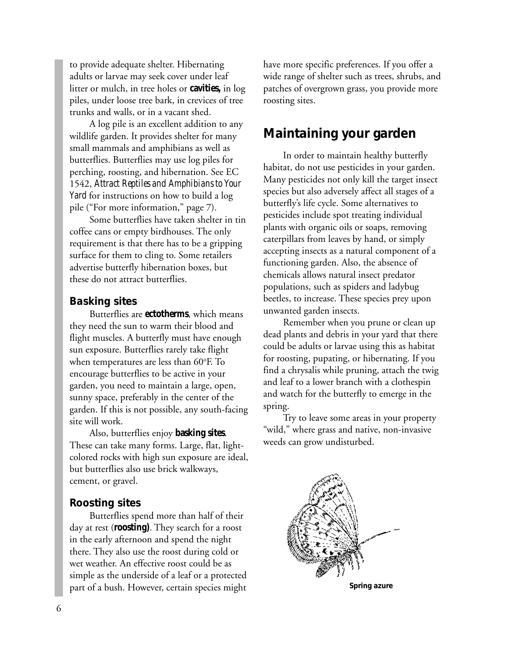to provide adequate shelter. Hibernating adults or larvae may seek cover under leaf litter or mulch, in tree holes or **cavities,** in log piles, under loose tree bark, in crevices of tree trunks and walls, or in a vacant shed.

A log pile is an excellent addition to any wildlife garden. It provides shelter for many small mammals and amphibians as well as butterflies. Butterflies may use log piles for perching, roosting, and hibernation. See EC 1542, *Attract Reptiles and Amphibians to Your Yard* for instructions on how to build a log pile ("For more information," page 7).

Some butterflies have taken shelter in tin coffee cans or empty birdhouses. The only requirement is that there has to be a gripping surface for them to cling to. Some retailers advertise butterfly hibernation boxes, but these do not attract butterflies.

## *Basking sites*

Butterflies are **ectotherms**, which means they need the sun to warm their blood and flight muscles. A butterfly must have enough sun exposure. Butterflies rarely take flight when temperatures are less than 60°F. To encourage butterflies to be active in your garden, you need to maintain a large, open, sunny space, preferably in the center of the garden. If this is not possible, any south-facing site will work.

Also, butterflies enjoy **basking sites**. These can take many forms. Large, flat, lightcolored rocks with high sun exposure are ideal, but butterflies also use brick walkways, cement, or gravel.

# *Roosting sites*

Butterflies spend more than half of their day at rest (**roosting)**. They search for a roost in the early afternoon and spend the night there. They also use the roost during cold or wet weather. An effective roost could be as simple as the underside of a leaf or a protected part of a bush. However, certain species might

have more specific preferences. If you offer a wide range of shelter such as trees, shrubs, and patches of overgrown grass, you provide more roosting sites.

# **Maintaining your garden**

In order to maintain healthy butterfly habitat, do not use pesticides in your garden. Many pesticides not only kill the target insect species but also adversely affect all stages of a butterfly's life cycle. Some alternatives to pesticides include spot treating individual plants with organic oils or soaps, removing caterpillars from leaves by hand, or simply accepting insects as a natural component of a functioning garden. Also, the absence of chemicals allows natural insect predator populations, such as spiders and ladybug beetles, to increase. These species prey upon unwanted garden insects.

Remember when you prune or clean up dead plants and debris in your yard that there could be adults or larvae using this as habitat for roosting, pupating, or hibernating. If you find a chrysalis while pruning, attach the twig and leaf to a lower branch with a clothespin and watch for the butterfly to emerge in the spring.

Try to leave some areas in your property "wild," where grass and native, non-invasive weeds can grow undisturbed.



**Spring azure**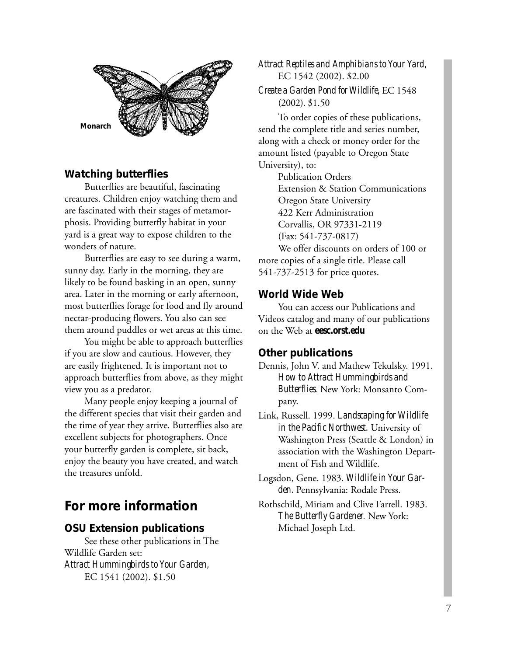

# *Watching butterflies*

Butterflies are beautiful, fascinating creatures. Children enjoy watching them and are fascinated with their stages of metamorphosis. Providing butterfly habitat in your yard is a great way to expose children to the wonders of nature.

Butterflies are easy to see during a warm, sunny day. Early in the morning, they are likely to be found basking in an open, sunny area. Later in the morning or early afternoon, most butterflies forage for food and fly around nectar-producing flowers. You also can see them around puddles or wet areas at this time.

You might be able to approach butterflies if you are slow and cautious. However, they are easily frightened. It is important not to approach butterflies from above, as they might view you as a predator.

Many people enjoy keeping a journal of the different species that visit their garden and the time of year they arrive. Butterflies also are excellent subjects for photographers. Once your butterfly garden is complete, sit back, enjoy the beauty you have created, and watch the treasures unfold.

# **For more information**

## *OSU Extension publications*

See these other publications in The Wildlife Garden set: *Attract Hummingbirds to Your Garden,* EC 1541 (2002). \$1.50

*Attract Reptiles and Amphibians to Your Yard,* EC 1542 (2002). \$2.00

*Create a Garden Pond for Wildlife,* EC 1548 (2002). \$1.50

To order copies of these publications, send the complete title and series number, along with a check or money order for the amount listed (payable to Oregon State University), to:

Publication Orders Extension & Station Communications Oregon State University 422 Kerr Administration Corvallis, OR 97331-2119 (Fax: 541-737-0817) We offer discounts on orders of 100 or

more copies of a single title. Please call 541-737-2513 for price quotes.

#### *World Wide Web*

You can access our Publications and Videos catalog and many of our publications on the Web at **eesc.orst.edu**

#### *Other publications*

- Dennis, John V. and Mathew Tekulsky. 1991. *How to Attract Hummingbirds and Butterflies.* New York: Monsanto Company.
- Link, Russell. 1999. *Landscaping for Wildlife in the Pacific Northwest.* University of Washington Press (Seattle & London) in association with the Washington Department of Fish and Wildlife.
- Logsdon, Gene. 1983. *Wildlife in Your Garden.* Pennsylvania: Rodale Press.
- Rothschild, Miriam and Clive Farrell. 1983. *The Butterfly Gardener.* New York: Michael Joseph Ltd.